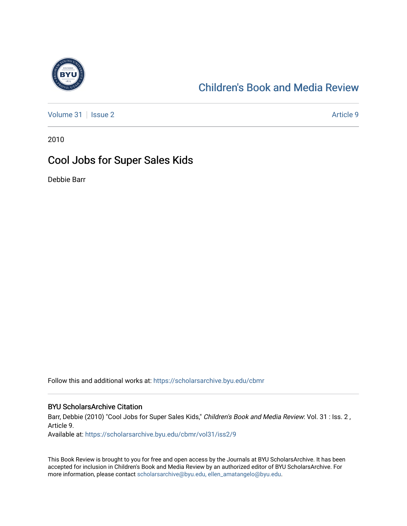

## [Children's Book and Media Review](https://scholarsarchive.byu.edu/cbmr)

[Volume 31](https://scholarsarchive.byu.edu/cbmr/vol31) | [Issue 2](https://scholarsarchive.byu.edu/cbmr/vol31/iss2) Article 9

2010

## Cool Jobs for Super Sales Kids

Debbie Barr

Follow this and additional works at: [https://scholarsarchive.byu.edu/cbmr](https://scholarsarchive.byu.edu/cbmr?utm_source=scholarsarchive.byu.edu%2Fcbmr%2Fvol31%2Fiss2%2F9&utm_medium=PDF&utm_campaign=PDFCoverPages) 

## BYU ScholarsArchive Citation

Barr, Debbie (2010) "Cool Jobs for Super Sales Kids," Children's Book and Media Review: Vol. 31 : Iss. 2, Article 9.

Available at: [https://scholarsarchive.byu.edu/cbmr/vol31/iss2/9](https://scholarsarchive.byu.edu/cbmr/vol31/iss2/9?utm_source=scholarsarchive.byu.edu%2Fcbmr%2Fvol31%2Fiss2%2F9&utm_medium=PDF&utm_campaign=PDFCoverPages) 

This Book Review is brought to you for free and open access by the Journals at BYU ScholarsArchive. It has been accepted for inclusion in Children's Book and Media Review by an authorized editor of BYU ScholarsArchive. For more information, please contact [scholarsarchive@byu.edu, ellen\\_amatangelo@byu.edu.](mailto:scholarsarchive@byu.edu,%20ellen_amatangelo@byu.edu)